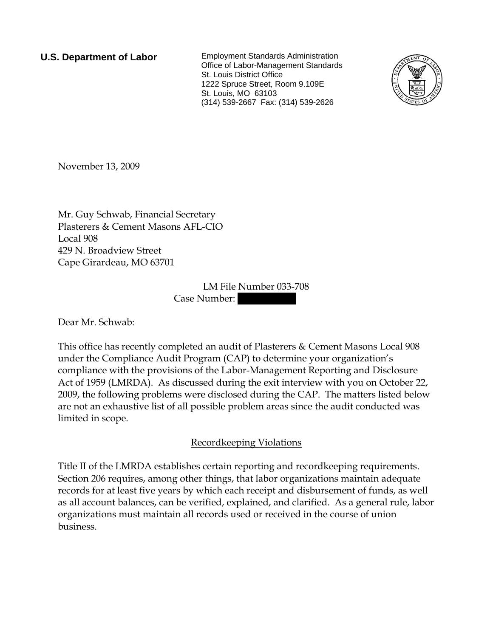**U.S. Department of Labor** Employment Standards Administration Office of Labor-Management Standards St. Louis District Office 1222 Spruce Street, Room 9.109E St. Louis, MO 63103 (314) 539-2667 Fax: (314) 539-2626



November 13, 2009

Mr. Guy Schwab, Financial Secretary Plasterers & Cement Masons AFL-CIO Local 908 429 N. Broadview Street Cape Girardeau, MO 63701

> LM File Number 033-708 Case Number:

Dear Mr. Schwab:

This office has recently completed an audit of Plasterers & Cement Masons Local 908 under the Compliance Audit Program (CAP) to determine your organization's compliance with the provisions of the Labor-Management Reporting and Disclosure Act of 1959 (LMRDA). As discussed during the exit interview with you on October 22, 2009, the following problems were disclosed during the CAP. The matters listed below are not an exhaustive list of all possible problem areas since the audit conducted was limited in scope.

## Recordkeeping Violations

Title II of the LMRDA establishes certain reporting and recordkeeping requirements. Section 206 requires, among other things, that labor organizations maintain adequate records for at least five years by which each receipt and disbursement of funds, as well as all account balances, can be verified, explained, and clarified. As a general rule, labor organizations must maintain all records used or received in the course of union business.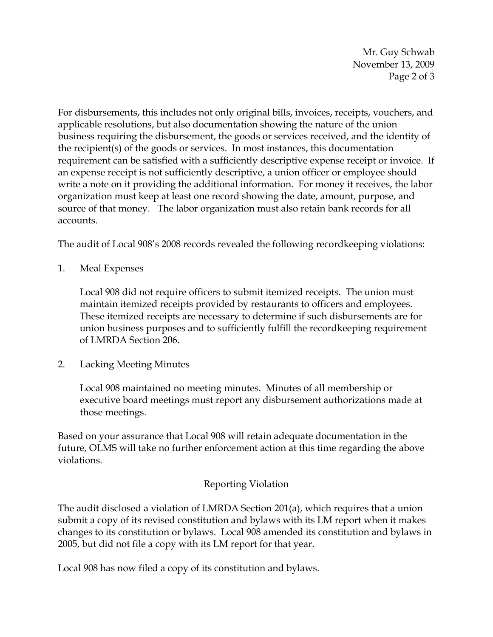Mr. Guy Schwab November 13, 2009 Page 2 of 3

For disbursements, this includes not only original bills, invoices, receipts, vouchers, and applicable resolutions, but also documentation showing the nature of the union business requiring the disbursement, the goods or services received, and the identity of the recipient(s) of the goods or services. In most instances, this documentation requirement can be satisfied with a sufficiently descriptive expense receipt or invoice. If an expense receipt is not sufficiently descriptive, a union officer or employee should write a note on it providing the additional information. For money it receives, the labor organization must keep at least one record showing the date, amount, purpose, and source of that money. The labor organization must also retain bank records for all accounts.

The audit of Local 908's 2008 records revealed the following recordkeeping violations:

1. Meal Expenses

Local 908 did not require officers to submit itemized receipts. The union must maintain itemized receipts provided by restaurants to officers and employees. These itemized receipts are necessary to determine if such disbursements are for union business purposes and to sufficiently fulfill the recordkeeping requirement of LMRDA Section 206.

2. Lacking Meeting Minutes

Local 908 maintained no meeting minutes. Minutes of all membership or executive board meetings must report any disbursement authorizations made at those meetings.

Based on your assurance that Local 908 will retain adequate documentation in the future, OLMS will take no further enforcement action at this time regarding the above violations.

## Reporting Violation

The audit disclosed a violation of LMRDA Section 201(a), which requires that a union submit a copy of its revised constitution and bylaws with its LM report when it makes changes to its constitution or bylaws. Local 908 amended its constitution and bylaws in 2005, but did not file a copy with its LM report for that year.

Local 908 has now filed a copy of its constitution and bylaws.